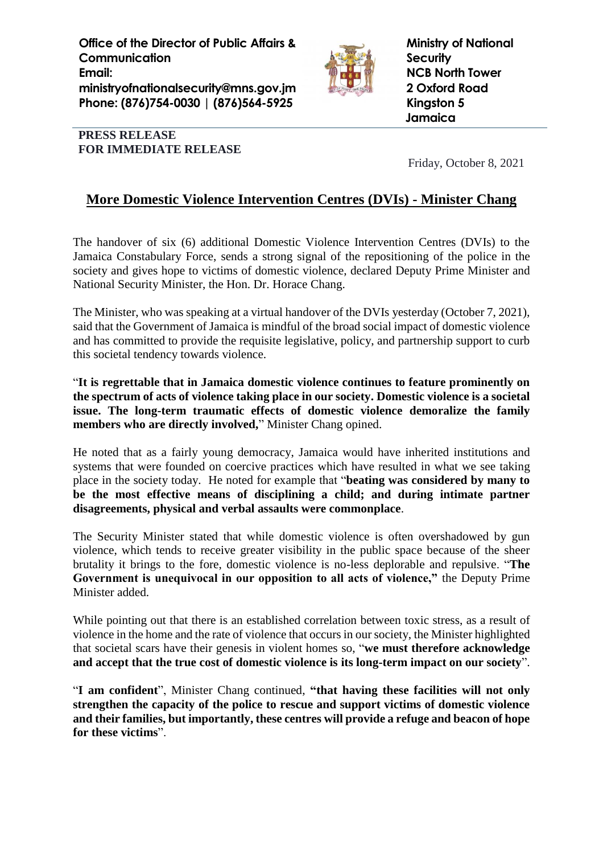**Office of the Director of Public Affairs & Communication Email: ministryofnationalsecurity@mns.gov.jm Phone: (876)754-0030 | (876)564-5925**



**Ministry of National Security NCB North Tower 2 Oxford Road Kingston 5 Jamaica**

## **PRESS RELEASE FOR IMMEDIATE RELEASE**

Friday, October 8, 2021

## **More Domestic Violence Intervention Centres (DVIs) - Minister Chang**

The handover of six (6) additional Domestic Violence Intervention Centres (DVIs) to the Jamaica Constabulary Force, sends a strong signal of the repositioning of the police in the society and gives hope to victims of domestic violence, declared Deputy Prime Minister and National Security Minister, the Hon. Dr. Horace Chang.

The Minister, who was speaking at a virtual handover of the DVIs yesterday (October 7, 2021), said that the Government of Jamaica is mindful of the broad social impact of domestic violence and has committed to provide the requisite legislative, policy, and partnership support to curb this societal tendency towards violence.

"**It is regrettable that in Jamaica domestic violence continues to feature prominently on the spectrum of acts of violence taking place in our society. Domestic violence is a societal issue. The long-term traumatic effects of domestic violence demoralize the family members who are directly involved,**" Minister Chang opined.

He noted that as a fairly young democracy, Jamaica would have inherited institutions and systems that were founded on coercive practices which have resulted in what we see taking place in the society today. He noted for example that "**beating was considered by many to be the most effective means of disciplining a child; and during intimate partner disagreements, physical and verbal assaults were commonplace**.

The Security Minister stated that while domestic violence is often overshadowed by gun violence, which tends to receive greater visibility in the public space because of the sheer brutality it brings to the fore, domestic violence is no-less deplorable and repulsive. "**The Government is unequivocal in our opposition to all acts of violence,"** the Deputy Prime Minister added.

While pointing out that there is an established correlation between toxic stress, as a result of violence in the home and the rate of violence that occurs in our society, the Minister highlighted that societal scars have their genesis in violent homes so, "**we must therefore acknowledge and accept that the true cost of domestic violence is its long-term impact on our society**".

"**I am confident**", Minister Chang continued, **"that having these facilities will not only strengthen the capacity of the police to rescue and support victims of domestic violence and their families, but importantly, these centres will provide a refuge and beacon of hope for these victims**".